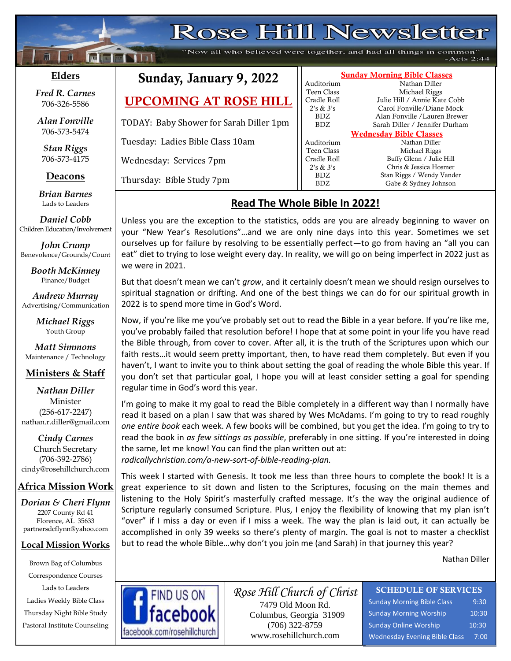# **Rose Hill Newsletter**

"Now all who believed were together, and had all things in common'  $-Acts$  2:44

#### **Elders**

**;30Ma\*``**

**Following National** 

*Fred R. Carnes* 706-326-5586

*Alan Fonville* 706-573-5474

*Stan Riggs* 706-573-4175

#### **Deacons**

**;**  *Brian Barnes* Lads to Leaders

*Daniel Cobb* Children Education/Involvement

*John Crump* Benevolence/Grounds/Count

> *Booth McKinney* Finance/Budget

*Andrew Murray* Advertising/Communication

> *Michael Riggs* Youth Group

*Matt Simmons* Maintenance / Technology

#### **Ministers & Staff**

*Nathan Diller* Minister (256-617-2247) nathan.r.diller@gmail.com

*Cindy Carnes* Church Secretary (706-392-2786) cindy@rosehillchurch.com

### **Africa Mission Work**

*Dorian & Cheri Flynn* 2207 County Rd 41 Florence, AL 35633 [partnersdcflynn@yahoo.com](mailto:partnersdcflynn@yahoo.com)

#### **Local Mission Works**

Brown Bag of Columbus Correspondence Courses Lads to Leaders Ladies Weekly Bible Class Thursday Night Bible Study Pastoral Institute Counseling

# Sunday, January 9, 2

**UPCOMING AT ROSE** 

TODAY: Baby Shower for Sarah Diller

Tuesday: Ladies Bible Class 10am

Wednesday: Services 7pm

Thursday: Bible Study 7pm

## **Read The Whole Bible In 2022!**

Unless you are the exception to the statistics, odds are you are already beginning to waver on your "New Year's Resolutions"…and we are only nine days into this year. Sometimes we set ourselves up for failure by resolving to be essentially perfect—to go from having an "all you can eat" diet to trying to lose weight every day. In reality, we will go on being imperfect in 2022 just as we were in 2021.

But that doesn't mean we can't *grow*, and it certainly doesn't mean we should resign ourselves to spiritual stagnation or drifting. And one of the best things we can do for our spiritual growth in 2022 is to spend more time in God's Word.

Now, if you're like me you've probably set out to read the Bible in a year before. If you're like me, you've probably failed that resolution before! I hope that at some point in your life you have read the Bible through, from cover to cover. After all, it is the truth of the Scriptures upon which our faith rests…it would seem pretty important, then, to have read them completely. But even if you haven't, I want to invite you to think about setting the goal of reading the whole Bible this year. If you don't set that particular goal, I hope you will at least consider setting a goal for spending regular time in God's word this year.

I'm going to make it my goal to read the Bible completely in a different way than I normally have read it based on a plan I saw that was shared by Wes McAdams. I'm going to try to read roughly *one entire book* each week. A few books will be combined, but you get the idea. I'm going to try to read the book in *as few sittings as possible*, preferably in one sitting. If you're interested in doing the same, let me know! You can find the plan written out at: *radicallychristian.com/a-new-sort-of-bible-reading-plan.*

This week I started with Genesis. It took me less than three hours to complete the book! It is a great experience to sit down and listen to the Scriptures, focusing on the main themes and listening to the Holy Spirit's masterfully crafted message. It's the way the original audience of Scripture regularly consumed Scripture. Plus, I enjoy the flexibility of knowing that my plan isn't "over" if I miss a day or even if I miss a week. The way the plan is laid out, it can actually be accomplished in only 39 weeks so there's plenty of margin. The goal is not to master a checklist but to read the whole Bible…why don't you join me (and Sarah) in that journey this year?

Nathan Diller



*Rose Hill Church of Christ* 7479 Old Moon Rd. Columbus, Georgia 31909 (706) 322-8759 www.rosehillchurch.com

### SCHEDULE OF SERVICES

Sunday Morning Bible Class 9:30 Sunday Morning Worship 10:30 Sunday Online Worship 10:30 Wednesday Evening Bible Class 7:00

| 2022      | <b>Sunday Morning Bible Classes</b> |                                |  |  |
|-----------|-------------------------------------|--------------------------------|--|--|
|           | Auditorium                          | Nathan Diller                  |  |  |
|           | Teen Class                          | Michael Riggs                  |  |  |
| E HILL    | Cradle Roll                         | Julie Hill / Annie Kate Cobb   |  |  |
|           | 2's & 3's                           | Carol Fonville/Diane Mock      |  |  |
| iller 1pm | BDZ.                                | Alan Fonville /Lauren Brewer   |  |  |
|           | BDZ.                                | Sarah Diller / Jennifer Durham |  |  |
|           | <b>Wednesday Bible Classes</b>      |                                |  |  |
|           | Auditorium                          | Nathan Diller                  |  |  |
|           | Teen Class                          | Michael Riggs                  |  |  |
|           | Cradle Roll                         | Buffy Glenn / Julie Hill       |  |  |
|           | 2's & 3's                           | Chris & Jessica Hosmer         |  |  |
|           | BDZ.                                | Stan Riggs / Wendy Vander      |  |  |
|           | BDZ                                 | Gabe & Sydney Johnson          |  |  |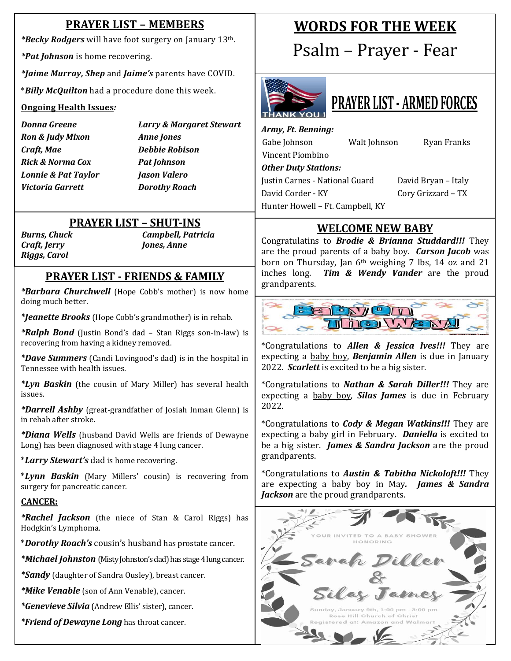#### **PRAYER LIST – MEMBERS WORDS FOR THE WEEK** *\*Becky Rodgers* will have foot surgery on January 13th. Psalm – Prayer - Fear *\*Pat Johnson* is home recovering. *\*Jaime Murray, Shep* and *Jaime's* parents have COVID. \**Billy McQuilton* had a procedure done this week. **PRAYER LIST - ARMED FORCES Ongoing Health Issues***: Donna Greene Larry & Margaret Stewart Army, Ft. Benning: Ron & Judy Mixon Anne Jones* Gabe Johnson Walt Johnson Ryan Franks *Craft, Mae Debbie Robison* Vincent Piombino *Rick & Norma Cox Pat Johnson Other Duty Stations: Lonnie & Pat Taylor Jason Valero* Justin Carnes - National Guard David Bryan – Italy *Victoria Garrett Dorothy Roach* David Corder - KY Cory Grizzard – TX Hunter Howell – Ft. Campbell, KY **PRAYER LIST – SHUT-INS WELCOME NEW BABY** *Burns, Chuck Campbell, Patricia* Congratulatins to *Brodie & Brianna Studdard!!!* They *Craft, Jerry Jones, Anne* are the proud parents of a baby boy. *Carson Jacob* was *Riggs, Carol* born on Thursday, Jan  $6<sup>th</sup>$  weighing 7 lbs, 14 oz and 21 inches long. *Tim & Wendy Vander* are the proud **PRAYER LIST - FRIENDS & FAMILY** grandparents. *\*Barbara Churchwell* (Hope Cobb's mother) is now home doing much better.  $39570$ *\*Jeanette Brooks* (Hope Cobb's grandmother) is in rehab. **THEO WENT**  *\*Ralph Bond* (Justin Bond's dad – Stan Riggs son-in-law) is recovering from having a kidney removed. \*Congratulations to *Allen & Jessica Ives!!!* They are expecting a baby boy, *Benjamin Allen* is due in January *\*Dave Summers* (Candi Lovingood's dad) is in the hospital in 2022. *Scarlett* is excited to be a big sister. Tennessee with health issues. *\*Lyn Baskin* (the cousin of Mary Miller) has several health \*Congratulations to *Nathan & Sarah Diller!!!* They are issues. expecting a baby boy, *Silas James* is due in February 2022. *\*Darrell Ashby* (great-grandfather of Josiah Inman Glenn) is in rehab after stroke. \*Congratulations to *Cody & Megan Watkins!!!* They are *\*Diana Wells* (husband David Wells are friends of Dewayne expecting a baby girl in February. *Daniella* is excited to Long) has been diagnosed with stage 4 lung cancer. be a big sister. *James & Sandra Jackson* are the proud grandparents. \**Larry Stewart's* dad is home recovering. \*Congratulations to *Austin & Tabitha Nickoloft!!!* They \**Lynn Baskin* (Mary Millers' cousin) is recovering from are expecting a baby boy in May*. James & Sandra*  surgery for pancreatic cancer. *Jackson* are the proud grandparents. **CANCER:** *\*Rachel Jackson* (the niece of Stan & Carol Riggs) has Hodgkin's Lymphoma.  $10210222$ \**Dorothy Roach's* cousin's husband has prostate cancer. riller *\*Michael Johnston* (Misty Johnston's dad) has stage 4 lung cancer. *\*Sandy* (daughter of Sandra Ousley), breast cancer.

ames

.<br>Sunday, January 9th, 1:00 pm - 3:00 pr Rose Hill Church of Christ

*\*Mike Venable* (son of Ann Venable), cancer.

*\*Genevieve Silvia* (Andrew Ellis' sister), cancer.

*\*Friend of Dewayne Long* has throat cancer.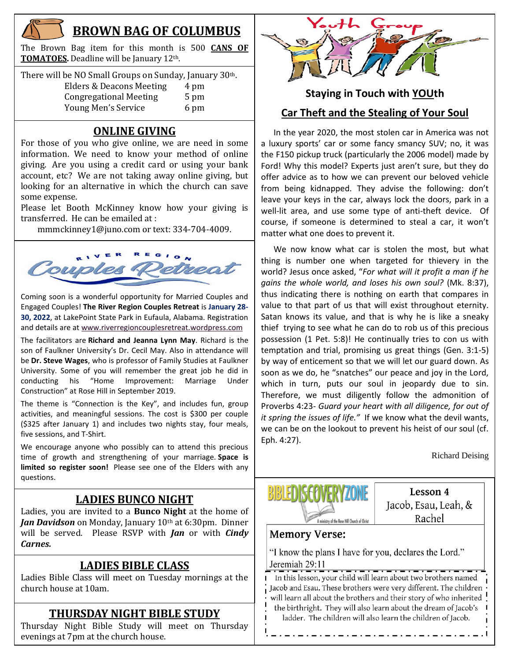

## **BROWN BAG OF COLUMBUS**

The Brown Bag item for this month is 500 **CANS OF TOMATOES.** Deadline will be January 12th.

| There will be NO Small Groups on Sunday, January 30th. |      |  |  |  |
|--------------------------------------------------------|------|--|--|--|
| Elders & Deacons Meeting                               | 4 pm |  |  |  |
| <b>Congregational Meeting</b>                          | 5 pm |  |  |  |
| Young Men's Service                                    | 6 pm |  |  |  |

#### **ONLINE GIVING**

For those of you who give online, we are need in some information. We need to know your method of online giving. Are you using a credit card or using your bank account, etc? We are not taking away online giving, but looking for an alternative in which the church can save some expense.

Please let Booth McKinney know how your giving is transferred. He can be emailed at :

[mmmckinney1@juno.com](mailto:mmmckinney1@juno.com) or text: 334-704-4009.



Coming soon is a wonderful opportunity for Married Couples and Engaged Couples! **The River Region Couples Retreat** is **January 28- 30, 2022**, at LakePoint State Park in Eufaula, Alabama. Registration and details are at [www.riverregioncouplesretreat.wordpress.com](http://www.riverregioncouplesretreat.wordpress.com/)

The facilitators are **Richard and Jeanna Lynn May**. Richard is the son of Faulkner University's Dr. Cecil May. Also in attendance will be **Dr. Steve Wages**, who is professor of Family Studies at Faulkner University. Some of you will remember the great job he did in conducting his "Home Improvement: Marriage Under Construction" at Rose Hill in September 2019.

The theme is "Connection is the Key", and includes fun, group activities, and meaningful sessions. The cost is \$300 per couple (\$325 after January 1) and includes two nights stay, four meals, five sessions, and T-Shirt.

We encourage anyone who possibly can to attend this precious time of growth and strengthening of your marriage. **Space is limited so register soon!** Please see one of the Elders with any questions.

### **LADIES BUNCO NIGHT**

Ladies, you are invited to a **Bunco Night** at the home of *Jan Davidson* on Monday, January 10<sup>th</sup> at 6:30pm. Dinner will be served. Please RSVP with *Jan* or with *Cindy Carnes.*

### **LADIES BIBLE CLASS**

Ladies Bible Class will meet on Tuesday mornings at the church house at 10am.

### **THURSDAY NIGHT BIBLE STUDY**

Prid suay inght bible study will be<br>evenings at 7pm at the church house. Thursday Night Bible Study will meet on Thursday



# **Staying in Touch with YOUth Car Theft and the Stealing of Your Soul**

 In the year 2020, the most stolen car in America was not a luxury sports' car or some fancy smancy SUV; no, it was the F150 pickup truck (particularly the 2006 model) made by Ford! Why this model? Experts just aren't sure, but they do offer advice as to how we can prevent our beloved vehicle from being kidnapped. They advise the following: don't leave your keys in the car, always lock the doors, park in a well-lit area, and use some type of anti-theft device. Of course, if someone is determined to steal a car, it won't matter what one does to prevent it.

 We now know what car is stolen the most, but what thing is number one when targeted for thievery in the world? Jesus once asked, "*For what will it profit a man if he gains the whole world, and loses his own soul?* (Mk. 8:37), thus indicating there is nothing on earth that compares in value to that part of us that will exist throughout eternity. Satan knows its value, and that is why he is like a sneaky thief trying to see what he can do to rob us of this precious possession (1 Pet. 5:8)! He continually tries to con us with temptation and trial, promising us great things (Gen. 3:1-5) by way of enticement so that we will let our guard down. As soon as we do, he "snatches" our peace and joy in the Lord, which in turn, puts our soul in jeopardy due to sin. Therefore, we must diligently follow the admonition of Proverbs 4:23- *Guard your heart with all diligence, for out of it spring the issues of life."* If we know what the devil wants, we can be on the lookout to prevent his heist of our soul (cf. Eph. 4:27).

Richard Deising



Lesson 4 Jacob, Esau, Leah, & Rachel

#### **Memory Verse:**

"I know the plans I have for you, declares the Lord." Jeremiah 29:11

I In this lesson, your child will learn about two brothers named Jacob and Esau. These brothers were very different. The children will learn all about the brothers and their story of who inherited the birthright. They will also learn about the dream of Jacob's ladder. The children will also learn the children of Jacob.